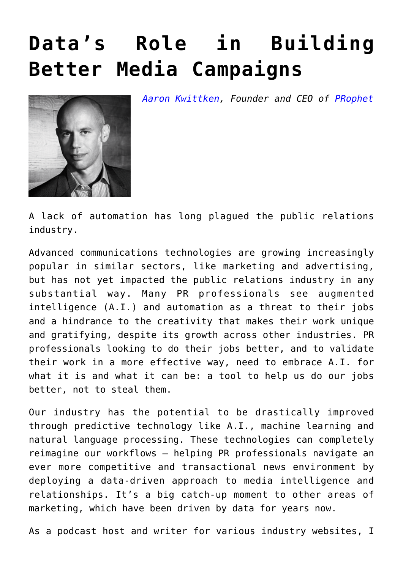## **[Data's Role in Building](https://www.commpro.biz/datas-role-in-building-better-media-campaigns/) [Better Media Campaigns](https://www.commpro.biz/datas-role-in-building-better-media-campaigns/)**

*[Aaron Kwittken](https://www.linkedin.com/in/aaronkwittken/), Founder and CEO of [PRophet](https://www.prprophet.ai/)*



A lack of automation has long plagued the public relations industry.

Advanced communications technologies are growing increasingly popular in similar sectors, like marketing and advertising, but has not yet impacted the public relations industry in any substantial way. Many PR professionals see augmented intelligence (A.I.) and automation as a threat to their jobs and a hindrance to the creativity that makes their work unique and gratifying, despite its growth across other industries. PR professionals looking to do their jobs better, and to validate their work in a more effective way, need to embrace A.I. for what it is and what it can be: a tool to help us do our jobs better, not to steal them.

Our industry has the potential to be drastically improved through predictive technology like A.I., machine learning and natural language processing. These technologies can completely reimagine our workflows – helping PR professionals navigate an ever more competitive and transactional news environment by deploying a data-driven approach to media intelligence and relationships. It's a big catch-up moment to other areas of marketing, which have been driven by data for years now.

As a podcast host and writer for various industry websites, I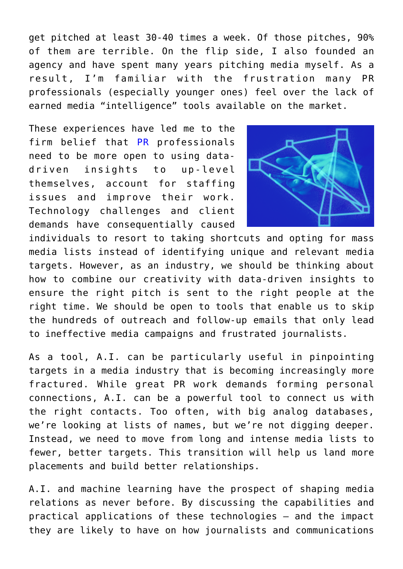get pitched at least 30-40 times a week. Of those pitches, 90% of them are terrible. On the flip side, I also founded an agency and have spent many years pitching media myself. As a result, I'm familiar with the frustration many PR professionals (especially younger ones) feel over the lack of earned media "intelligence" tools available on the market.

These experiences have led me to the firm belief that [PR](https://www.commpro.biz/comms-tech/) professionals need to be more open to using datadriven insights to up-level themselves, account for staffing issues and improve their work. Technology challenges and client demands have consequentially caused



individuals to resort to taking shortcuts and opting for mass media lists instead of identifying unique and relevant media targets. However, as an industry, we should be thinking about how to combine our creativity with data-driven insights to ensure the right pitch is sent to the right people at the right time. We should be open to tools that enable us to skip the hundreds of outreach and follow-up emails that only lead to ineffective media campaigns and frustrated journalists.

As a tool, A.I. can be particularly useful in pinpointing targets in a media industry that is becoming increasingly more fractured. While great PR work demands forming personal connections, A.I. can be a powerful tool to connect us with the right contacts. Too often, with big analog databases, we're looking at lists of names, but we're not digging deeper. Instead, we need to move from long and intense media lists to fewer, better targets. This transition will help us land more placements and build better relationships.

A.I. and machine learning have the prospect of shaping media relations as never before. By discussing the capabilities and practical applications of these technologies – and the impact they are likely to have on how journalists and communications